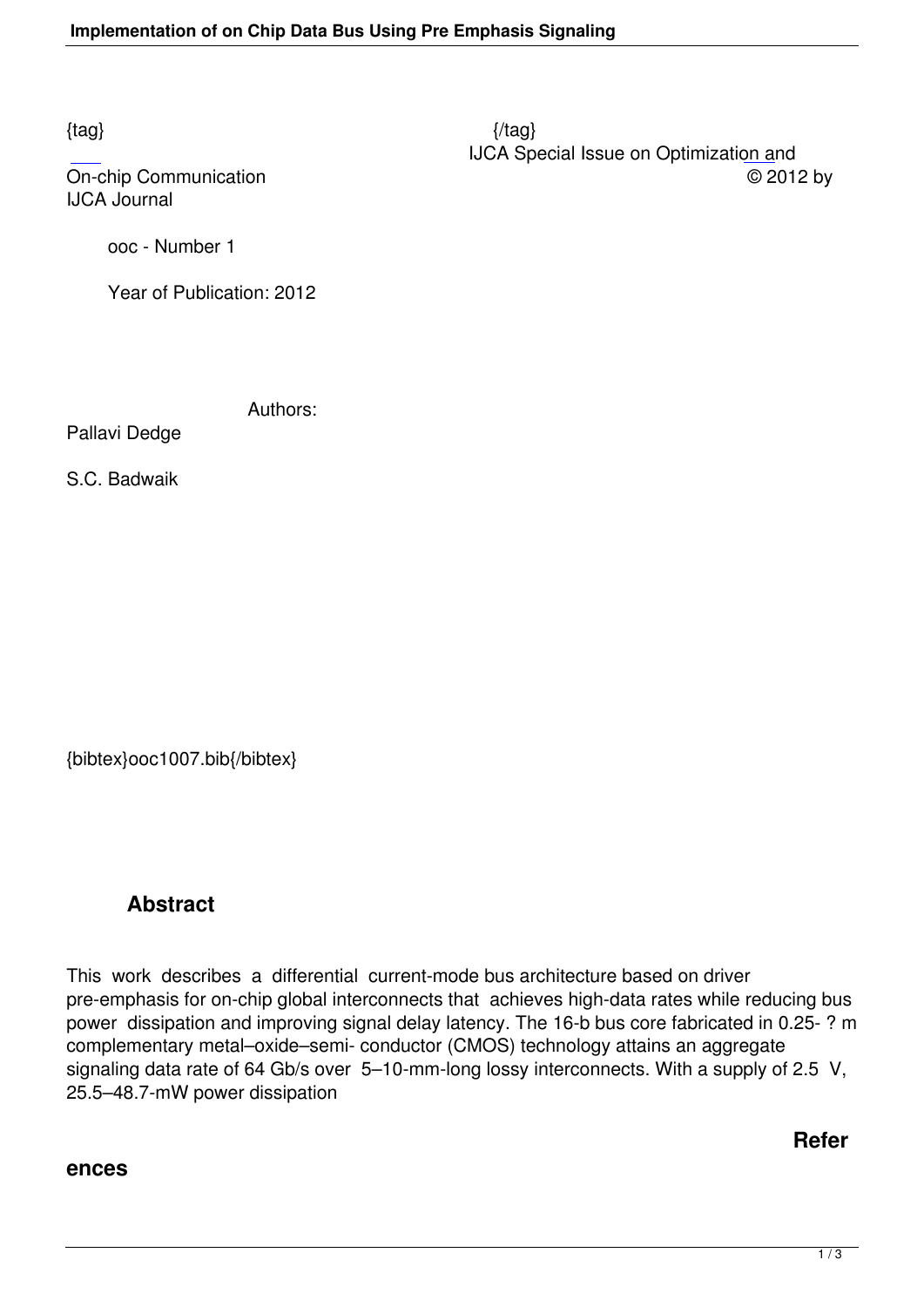IJCA Journal

ooc - Number 1

Year of Publication: 2012

Authors:

Pallavi Dedge

S.C. Badwaik

{bibtex}ooc1007.bib{/bibtex}

## **Abstract**

This work describes a differential current-mode bus architecture based on driver pre-emphasis for on-chip global interconnects that achieves high-data rates while reducing bus power dissipation and improving signal delay latency. The 16-b bus core fabricated in 0.25- ? m complementary metal–oxide–semi- conductor (CMOS) technology attains an aggregate signaling data rate of 64 Gb/s over 5–10-mm-long lossy interconnects. With a supply of 2.5 V, 25.5–48.7-mW power dissipation

## **Refer**

## **ences**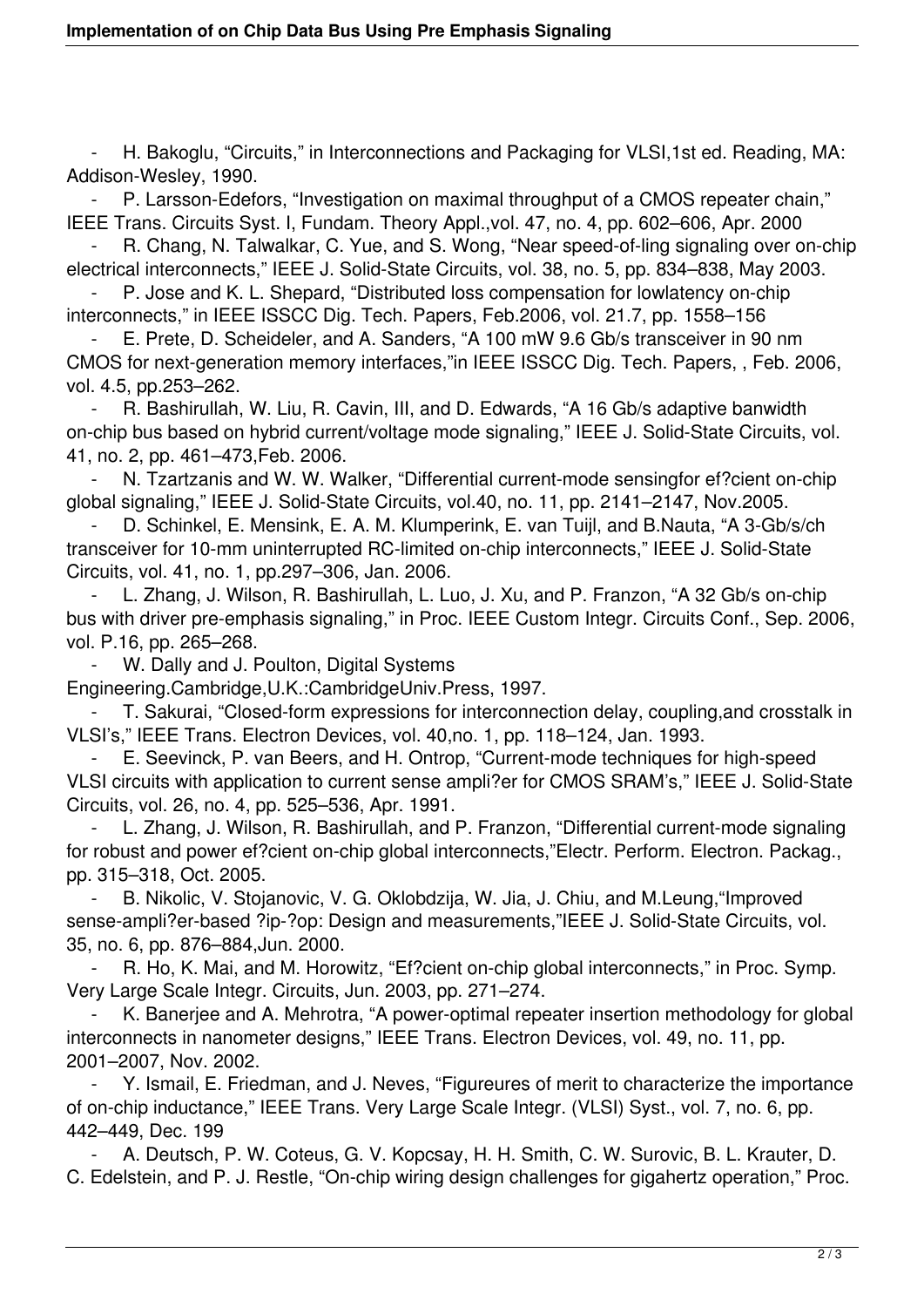- H. Bakoglu, "Circuits," in Interconnections and Packaging for VLSI,1st ed. Reading, MA: Addison-Wesley, 1990.

P. Larsson-Edefors, "Investigation on maximal throughput of a CMOS repeater chain," IEEE Trans. Circuits Syst. I, Fundam. Theory Appl.,vol. 47, no. 4, pp. 602–606, Apr. 2000

 - R. Chang, N. Talwalkar, C. Yue, and S. Wong, "Near speed-of-ling signaling over on-chip electrical interconnects," IEEE J. Solid-State Circuits, vol. 38, no. 5, pp. 834–838, May 2003.

P. Jose and K. L. Shepard, "Distributed loss compensation for lowlatency on-chip interconnects," in IEEE ISSCC Dig. Tech. Papers, Feb.2006, vol. 21.7, pp. 1558–156

E. Prete, D. Scheideler, and A. Sanders, "A 100 mW 9.6 Gb/s transceiver in 90 nm CMOS for next-generation memory interfaces,"in IEEE ISSCC Dig. Tech. Papers, , Feb. 2006, vol. 4.5, pp.253–262.

R. Bashirullah, W. Liu, R. Cavin, III, and D. Edwards, "A 16 Gb/s adaptive banwidth on-chip bus based on hybrid current/voltage mode signaling," IEEE J. Solid-State Circuits, vol. 41, no. 2, pp. 461–473,Feb. 2006.

N. Tzartzanis and W. W. Walker, "Differential current-mode sensingfor ef?cient on-chip global signaling," IEEE J. Solid-State Circuits, vol.40, no. 11, pp. 2141–2147, Nov.2005.

D. Schinkel, E. Mensink, E. A. M. Klumperink, E. van Tuijl, and B.Nauta, "A 3-Gb/s/ch transceiver for 10-mm uninterrupted RC-limited on-chip interconnects," IEEE J. Solid-State Circuits, vol. 41, no. 1, pp.297–306, Jan. 2006.

 - L. Zhang, J. Wilson, R. Bashirullah, L. Luo, J. Xu, and P. Franzon, "A 32 Gb/s on-chip bus with driver pre-emphasis signaling," in Proc. IEEE Custom Integr. Circuits Conf., Sep. 2006, vol. P.16, pp. 265–268.

W. Dally and J. Poulton, Digital Systems

Engineering.Cambridge,U.K.:CambridgeUniv.Press, 1997.

T. Sakurai, "Closed-form expressions for interconnection delay, coupling,and crosstalk in VLSI's," IEEE Trans. Electron Devices, vol. 40,no. 1, pp. 118–124, Jan. 1993.

 - E. Seevinck, P. van Beers, and H. Ontrop, "Current-mode techniques for high-speed VLSI circuits with application to current sense ampli?er for CMOS SRAM's," IEEE J. Solid-State Circuits, vol. 26, no. 4, pp. 525–536, Apr. 1991.

L. Zhang, J. Wilson, R. Bashirullah, and P. Franzon, "Differential current-mode signaling for robust and power ef?cient on-chip global interconnects,"Electr. Perform. Electron. Packag., pp. 315–318, Oct. 2005.

 - B. Nikolic, V. Stojanovic, V. G. Oklobdzija, W. Jia, J. Chiu, and M.Leung,"Improved sense-ampli?er-based ?ip-?op: Design and measurements,"IEEE J. Solid-State Circuits, vol. 35, no. 6, pp. 876–884,Jun. 2000.

R. Ho, K. Mai, and M. Horowitz, "Ef?cient on-chip global interconnects," in Proc. Symp. Very Large Scale Integr. Circuits, Jun. 2003, pp. 271–274.

K. Baneriee and A. Mehrotra, "A power-optimal repeater insertion methodology for global interconnects in nanometer designs," IEEE Trans. Electron Devices, vol. 49, no. 11, pp. 2001–2007, Nov. 2002.

Y. Ismail, E. Friedman, and J. Neves, "Figureures of merit to characterize the importance of on-chip inductance," IEEE Trans. Very Large Scale Integr. (VLSI) Syst., vol. 7, no. 6, pp. 442–449, Dec. 199

 - A. Deutsch, P. W. Coteus, G. V. Kopcsay, H. H. Smith, C. W. Surovic, B. L. Krauter, D. C. Edelstein, and P. J. Restle, "On-chip wiring design challenges for gigahertz operation," Proc.